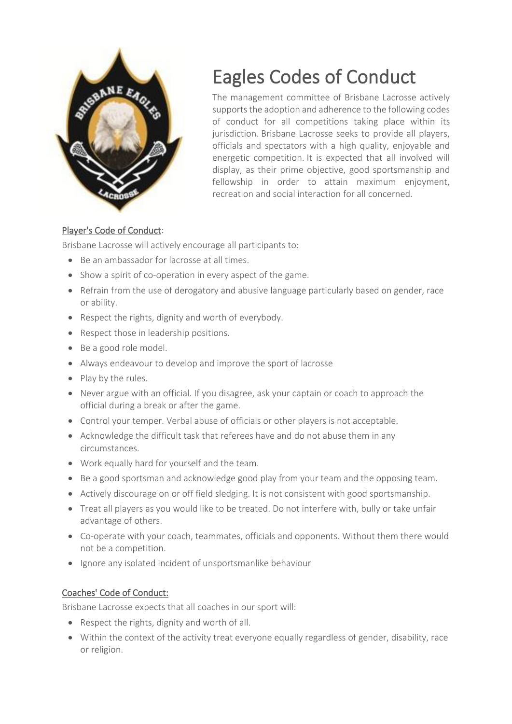

# Eagles Codes of Conduct

The management committee of Brisbane Lacrosse actively supports the adoption and adherence to the following codes of conduct for all competitions taking place within its jurisdiction. Brisbane Lacrosse seeks to provide all players, officials and spectators with a high quality, enjoyable and energetic competition. It is expected that all involved will display, as their prime objective, good sportsmanship and fellowship in order to attain maximum enjoyment, recreation and social interaction for all concerned.

## Player's Code of Conduct:

Brisbane Lacrosse will actively encourage all participants to:

- Be an ambassador for lacrosse at all times.
- Show a spirit of co-operation in every aspect of the game.
- Refrain from the use of derogatory and abusive language particularly based on gender, race or ability.
- Respect the rights, dignity and worth of everybody.
- Respect those in leadership positions.
- Be a good role model.
- Always endeavour to develop and improve the sport of lacrosse
- Play by the rules.
- Never argue with an official. If you disagree, ask your captain or coach to approach the official during a break or after the game.
- Control your temper. Verbal abuse of officials or other players is not acceptable.
- Acknowledge the difficult task that referees have and do not abuse them in any circumstances.
- Work equally hard for yourself and the team.
- Be a good sportsman and acknowledge good play from your team and the opposing team.
- Actively discourage on or off field sledging. It is not consistent with good sportsmanship.
- Treat all players as you would like to be treated. Do not interfere with, bully or take unfair advantage of others.
- Co-operate with your coach, teammates, officials and opponents. Without them there would not be a competition.
- Ignore any isolated incident of unsportsmanlike behaviour

## Coaches' Code of Conduct:

Brisbane Lacrosse expects that all coaches in our sport will:

- Respect the rights, dignity and worth of all.
- Within the context of the activity treat everyone equally regardless of gender, disability, race or religion.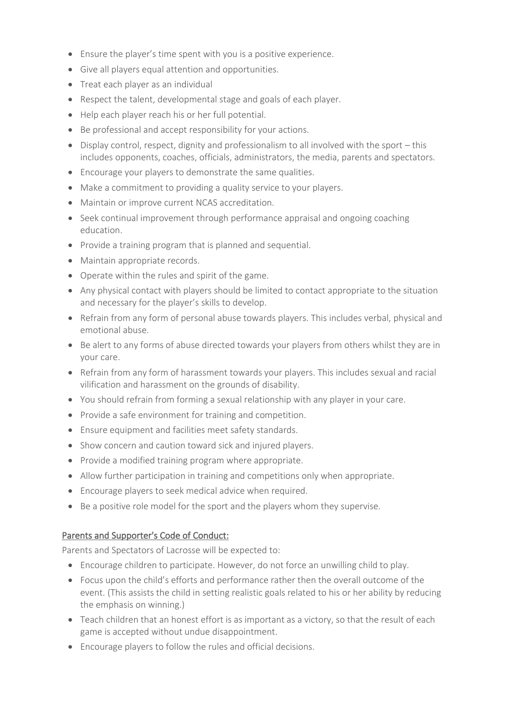- Ensure the player's time spent with you is a positive experience.
- Give all players equal attention and opportunities.
- Treat each player as an individual
- Respect the talent, developmental stage and goals of each player.
- Help each player reach his or her full potential.
- Be professional and accept responsibility for your actions.
- Display control, respect, dignity and professionalism to all involved with the sport this includes opponents, coaches, officials, administrators, the media, parents and spectators.
- Encourage your players to demonstrate the same qualities.
- Make a commitment to providing a quality service to your players.
- Maintain or improve current NCAS accreditation.
- Seek continual improvement through performance appraisal and ongoing coaching education.
- Provide a training program that is planned and sequential.
- Maintain appropriate records.
- Operate within the rules and spirit of the game.
- Any physical contact with players should be limited to contact appropriate to the situation and necessary for the player's skills to develop.
- Refrain from any form of personal abuse towards players. This includes verbal, physical and emotional abuse.
- Be alert to any forms of abuse directed towards your players from others whilst they are in your care.
- Refrain from any form of harassment towards your players. This includes sexual and racial vilification and harassment on the grounds of disability.
- You should refrain from forming a sexual relationship with any player in your care.
- Provide a safe environment for training and competition.
- Ensure equipment and facilities meet safety standards.
- Show concern and caution toward sick and injured players.
- Provide a modified training program where appropriate.
- Allow further participation in training and competitions only when appropriate.
- Encourage players to seek medical advice when required.
- Be a positive role model for the sport and the players whom they supervise.

### Parents and Supporter's Code of Conduct:

Parents and Spectators of Lacrosse will be expected to:

- Encourage children to participate. However, do not force an unwilling child to play.
- Focus upon the child's efforts and performance rather then the overall outcome of the event. (This assists the child in setting realistic goals related to his or her ability by reducing the emphasis on winning.)
- Teach children that an honest effort is as important as a victory, so that the result of each game is accepted without undue disappointment.
- Encourage players to follow the rules and official decisions.